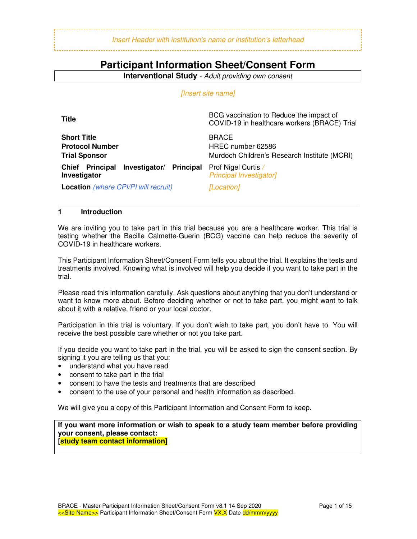#### Insert Header with institution's name or institution's letterhead

# **Participant Information Sheet/Consent Form**

**Interventional Study** - Adult providing own consent

#### [Insert site name]

| Title                                                                | BCG vaccination to Reduce the impact of<br>COVID-19 in healthcare workers (BRACE) Trial |
|----------------------------------------------------------------------|-----------------------------------------------------------------------------------------|
| <b>Short Title</b><br><b>Protocol Number</b><br><b>Trial Sponsor</b> | <b>BRACE</b><br>HREC number 62586<br>Murdoch Children's Research Institute (MCRI)       |
| Investigator/ Principal<br><b>Principal</b><br>Chief<br>Investigator | Prof Nigel Curtis /<br><b>Principal Investigator]</b>                                   |
| <b>Location</b> (where CPI/PI will recruit)                          | [Location]                                                                              |

#### **1 Introduction**

We are inviting you to take part in this trial because you are a healthcare worker. This trial is testing whether the Bacille Calmette-Guerin (BCG) vaccine can help reduce the severity of COVID-19 in healthcare workers.

This Participant Information Sheet/Consent Form tells you about the trial. It explains the tests and treatments involved. Knowing what is involved will help you decide if you want to take part in the trial.

Please read this information carefully. Ask questions about anything that you don't understand or want to know more about. Before deciding whether or not to take part, you might want to talk about it with a relative, friend or your local doctor.

Participation in this trial is voluntary. If you don't wish to take part, you don't have to. You will receive the best possible care whether or not you take part.

If you decide you want to take part in the trial, you will be asked to sign the consent section. By signing it you are telling us that you:

- understand what you have read
- consent to take part in the trial
- consent to have the tests and treatments that are described
- consent to the use of your personal and health information as described.

We will give you a copy of this Participant Information and Consent Form to keep.

**If you want more information or wish to speak to a study team member before providing your consent, please contact: [study team contact information]**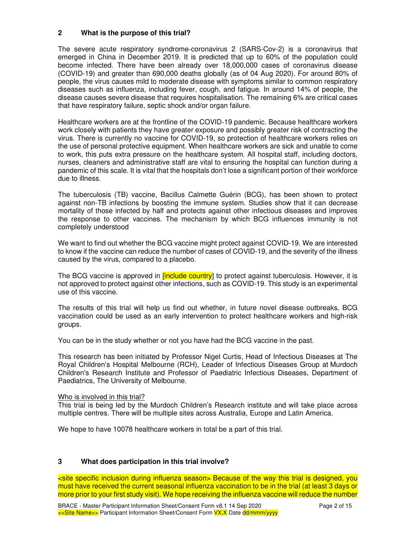#### **2 What is the purpose of this trial?**

The severe acute respiratory syndrome-coronavirus 2 (SARS-Cov-2) is a coronavirus that emerged in China in December 2019. It is predicted that up to 60% of the population could become infected. There have been already over 18,000,000 cases of coronavirus disease (COVID-19) and greater than 690,000 deaths globally (as of 04 Aug 2020). For around 80% of people, the virus causes mild to moderate disease with symptoms similar to common respiratory diseases such as influenza, including fever, cough, and fatigue. In around 14% of people, the disease causes severe disease that requires hospitalisation. The remaining 6% are critical cases that have respiratory failure, septic shock and/or organ failure.

Healthcare workers are at the frontline of the COVID-19 pandemic. Because healthcare workers work closely with patients they have greater exposure and possibly greater risk of contracting the virus. There is currently no vaccine for COVID-19, so protection of healthcare workers relies on the use of personal protective equipment. When healthcare workers are sick and unable to come to work, this puts extra pressure on the healthcare system. All hospital staff, including doctors, nurses, cleaners and administrative staff are vital to ensuring the hospital can function during a pandemic of this scale. It is vital that the hospitals don't lose a significant portion of their workforce due to illness.

The tuberculosis (TB) vaccine, Bacillus Calmette Guérin (BCG), has been shown to protect against non-TB infections by boosting the immune system. Studies show that it can decrease mortality of those infected by half and protects against other infectious diseases and improves the response to other vaccines. The mechanism by which BCG influences immunity is not completely understood

We want to find out whether the BCG vaccine might protect against COVID-19. We are interested to know if the vaccine can reduce the number of cases of COVID-19, and the severity of the illness caused by the virus, compared to a placebo.

The BCG vaccine is approved in *[include country*] to protect against tuberculosis. However, it is not approved to protect against other infections, such as COVID-19. This study is an experimental use of this vaccine.

The results of this trial will help us find out whether, in future novel disease outbreaks, BCG vaccination could be used as an early intervention to protect healthcare workers and high-risk groups.

You can be in the study whether or not you have had the BCG vaccine in the past.

This research has been initiated by Professor Nigel Curtis, Head of Infectious Diseases at The Royal Children's Hospital Melbourne (RCH), Leader of Infectious Diseases Group at Murdoch Children's Research Institute and Professor of Paediatric Infectious Diseases, Department of Paediatrics, The University of Melbourne.

#### Who is involved in this trial?

This trial is being led by the Murdoch Children's Research institute and will take place across multiple centres. There will be multiple sites across Australia, Europe and Latin America.

We hope to have 10078 healthcare workers in total be a part of this trial.

#### **3 What does participation in this trial involve?**

<site specific inclusion during influenza season> Because of the way this trial is designed, you must have received the current seasonal influenza vaccination to be in the trial (at least 3 days or more prior to your first study visit). We hope receiving the influenza vaccine will reduce the number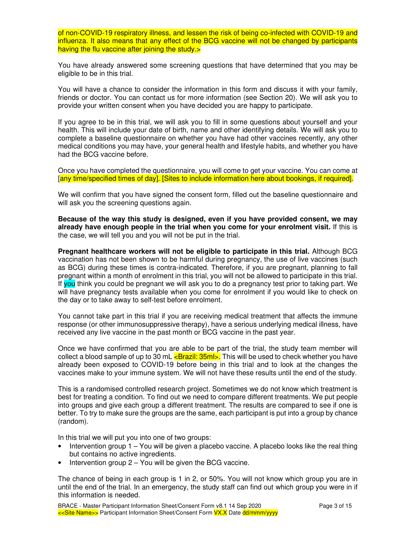of non-COVID-19 respiratory illness, and lessen the risk of being co-infected with COVID-19 and influenza. It also means that any effect of the BCG vaccine will not be changed by participants having the flu vaccine after joining the study.>

You have already answered some screening questions that have determined that you may be eligible to be in this trial.

You will have a chance to consider the information in this form and discuss it with your family, friends or doctor. You can contact us for more information (see Section 20). We will ask you to provide your written consent when you have decided you are happy to participate.

If you agree to be in this trial, we will ask you to fill in some questions about yourself and your health. This will include your date of birth, name and other identifying details. We will ask you to complete a baseline questionnaire on whether you have had other vaccines recently, any other medical conditions you may have, your general health and lifestyle habits, and whether you have had the BCG vaccine before.

Once you have completed the questionnaire, you will come to get your vaccine. You can come at [any time/specified times of day]. [Sites to include information here about bookings, if required].

We will confirm that you have signed the consent form, filled out the baseline questionnaire and will ask you the screening questions again.

**Because of the way this study is designed, even if you have provided consent, we may already have enough people in the trial when you come for your enrolment visit.** If this is the case, we will tell you and you will not be put in the trial.

**Pregnant healthcare workers will not be eligible to participate in this trial.** Although BCG vaccination has not been shown to be harmful during pregnancy, the use of live vaccines (such as BCG) during these times is contra-indicated. Therefore, if you are pregnant, planning to fall pregnant within a month of enrolment in this trial, you will not be allowed to participate in this trial. If you think you could be pregnant we will ask you to do a pregnancy test prior to taking part. We will have pregnancy tests available when you come for enrolment if you would like to check on the day or to take away to self-test before enrolment.

You cannot take part in this trial if you are receiving medical treatment that affects the immune response (or other immunosuppressive therapy), have a serious underlying medical illness, have received any live vaccine in the past month or BCG vaccine in the past year.

Once we have confirmed that you are able to be part of the trial, the study team member will collect a blood sample of up to 30 mL  $\leq$ Brazil: 35ml>. This will be used to check whether you have already been exposed to COVID-19 before being in this trial and to look at the changes the vaccines make to your immune system. We will not have these results until the end of the study.

This is a randomised controlled research project. Sometimes we do not know which treatment is best for treating a condition. To find out we need to compare different treatments. We put people into groups and give each group a different treatment. The results are compared to see if one is better. To try to make sure the groups are the same, each participant is put into a group by chance (random).

In this trial we will put you into one of two groups:

- Intervention group 1 You will be given a placebo vaccine. A placebo looks like the real thing but contains no active ingredients.
- Intervention group 2 You will be given the BCG vaccine.

The chance of being in each group is 1 in 2, or 50%. You will not know which group you are in until the end of the trial. In an emergency, the study staff can find out which group you were in if this information is needed.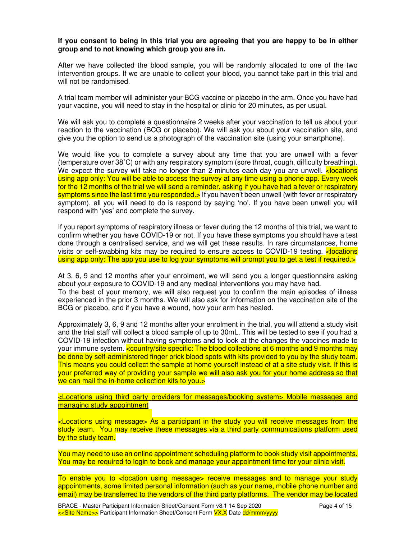#### **If you consent to being in this trial you are agreeing that you are happy to be in either group and to not knowing which group you are in.**

After we have collected the blood sample, you will be randomly allocated to one of the two intervention groups. If we are unable to collect your blood, you cannot take part in this trial and will not be randomised.

A trial team member will administer your BCG vaccine or placebo in the arm. Once you have had your vaccine, you will need to stay in the hospital or clinic for 20 minutes, as per usual.

We will ask you to complete a questionnaire 2 weeks after your vaccination to tell us about your reaction to the vaccination (BCG or placebo). We will ask you about your vaccination site, and give you the option to send us a photograph of the vaccination site (using your smartphone).

We would like you to complete a survey about any time that you are unwell with a fever (temperature over 38˚C) or with any respiratory symptom (sore throat, cough, difficulty breathing). We expect the survey will take no longer than 2-minutes each day you are unwell.  $\langle$  locations using app only: You will be able to access the survey at any time using a phone app. Every week for the 12 months of the trial we will send a reminder, asking if you have had a fever or respiratory symptoms since the last time you responded.> If you haven't been unwell (with fever or respiratory symptom), all you will need to do is respond by saying 'no'. If you have been unwell you will respond with 'yes' and complete the survey.

If you report symptoms of respiratory illness or fever during the 12 months of this trial, we want to confirm whether you have COVID-19 or not. If you have these symptoms you should have a test done through a centralised service, and we will get these results. In rare circumstances, home visits or self-swabbing kits may be required to ensure access to COVID-19 testing.  $\epsilon$  locations using app only: The app you use to log your symptoms will prompt you to get a test if required.>

At 3, 6, 9 and 12 months after your enrolment, we will send you a longer questionnaire asking about your exposure to COVID-19 and any medical interventions you may have had. To the best of your memory, we will also request you to confirm the main episodes of illness experienced in the prior 3 months. We will also ask for information on the vaccination site of the BCG or placebo, and if you have a wound, how your arm has healed.

Approximately 3, 6, 9 and 12 months after your enrolment in the trial, you will attend a study visit and the trial staff will collect a blood sample of up to 30mL. This will be tested to see if you had a COVID-19 infection without having symptoms and to look at the changes the vaccines made to your immune system. <country/site specific: The blood collections at 6 months and 9 months may be done by self-administered finger prick blood spots with kits provided to you by the study team. This means you could collect the sample at home yourself instead of at a site study visit. If this is your preferred way of providing your sample we will also ask you for your home address so that we can mail the in-home collection kits to you.>

<Locations using third party providers for messages/booking system> Mobile messages and managing study appointment

<Locations using message> As a participant in the study you will receive messages from the study team. You may receive these messages via a third party communications platform used by the study team.

You may need to use an online appointment scheduling platform to book study visit appointments. You may be required to login to book and manage your appointment time for your clinic visit.

To enable you to <location using message> receive messages and to manage your study appointments, some limited personal information (such as your name, mobile phone number and email) may be transferred to the vendors of the third party platforms. The vendor may be located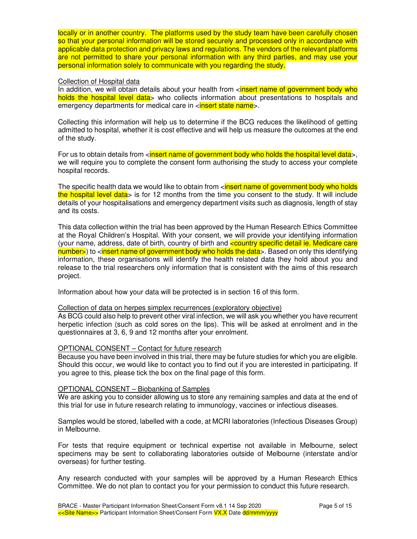locally or in another country. The platforms used by the study team have been carefully chosen so that your personal information will be stored securely and processed only in accordance with applicable data protection and privacy laws and regulations. The vendors of the relevant platforms are not permitted to share your personal information with any third parties, and may use your personal information solely to communicate with you regarding the study.

#### Collection of Hospital data

In addition, we will obtain details about your health from  $\epsilon$  insert name of government body who holds the hospital level data> who collects information about presentations to hospitals and emergency departments for medical care in  $\epsilon$  insert state name  $\epsilon$ .

Collecting this information will help us to determine if the BCG reduces the likelihood of getting admitted to hospital, whether it is cost effective and will help us measure the outcomes at the end of the study.

For us to obtain details from <insert name of government body who holds the hospital level data>, we will require you to complete the consent form authorising the study to access your complete hospital records.

The specific health data we would like to obtain from  $\langle$  insert name of government body who holds the hospital level data> is for 12 months from the time you consent to the study. It will include details of your hospitalisations and emergency department visits such as diagnosis, length of stay and its costs.

This data collection within the trial has been approved by the Human Research Ethics Committee at the Royal Children's Hospital. With your consent, we will provide your identifying information (your name, address, date of birth, country of birth and **country specific detail ie. Medicare care** number>) to <insert name of government body who holds the data>. Based on only this identifying information, these organisations will identify the health related data they hold about you and release to the trial researchers only information that is consistent with the aims of this research project.

Information about how your data will be protected is in section 16 of this form.

#### Collection of data on herpes simplex recurrences (exploratory objective)

As BCG could also help to prevent other viral infection, we will ask you whether you have recurrent herpetic infection (such as cold sores on the lips). This will be asked at enrolment and in the questionnaires at 3, 6, 9 and 12 months after your enrolment.

#### OPTIONAL CONSENT – Contact for future research

Because you have been involved in this trial, there may be future studies for which you are eligible. Should this occur, we would like to contact you to find out if you are interested in participating. If you agree to this, please tick the box on the final page of this form.

#### OPTIONAL CONSENT – Biobanking of Samples

We are asking you to consider allowing us to store any remaining samples and data at the end of this trial for use in future research relating to immunology, vaccines or infectious diseases.

Samples would be stored, labelled with a code, at MCRI laboratories (Infectious Diseases Group) in Melbourne.

For tests that require equipment or technical expertise not available in Melbourne, select specimens may be sent to collaborating laboratories outside of Melbourne (interstate and/or overseas) for further testing.

Any research conducted with your samples will be approved by a Human Research Ethics Committee. We do not plan to contact you for your permission to conduct this future research.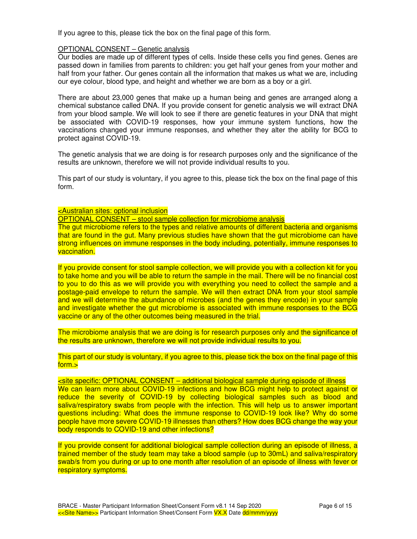If you agree to this, please tick the box on the final page of this form.

#### OPTIONAL CONSENT – Genetic analysis

Our bodies are made up of different types of cells. Inside these cells you find genes. Genes are passed down in families from parents to children: you get half your genes from your mother and half from your father. Our genes contain all the information that makes us what we are, including our eye colour, blood type, and height and whether we are born as a boy or a girl.

There are about 23,000 genes that make up a human being and genes are arranged along a chemical substance called DNA. If you provide consent for genetic analysis we will extract DNA from your blood sample. We will look to see if there are genetic features in your DNA that might be associated with COVID-19 responses, how your immune system functions, how the vaccinations changed your immune responses, and whether they alter the ability for BCG to protect against COVID-19.

The genetic analysis that we are doing is for research purposes only and the significance of the results are unknown, therefore we will not provide individual results to you.

This part of our study is voluntary, if you agree to this, please tick the box on the final page of this form.

#### <Australian sites: optional inclusion

OPTIONAL CONSENT – stool sample collection for microbiome analysis

The gut microbiome refers to the types and relative amounts of different bacteria and organisms that are found in the gut. Many previous studies have shown that the gut microbiome can have strong influences on immune responses in the body including, potentially, immune responses to vaccination.

If you provide consent for stool sample collection, we will provide you with a collection kit for you to take home and you will be able to return the sample in the mail. There will be no financial cost to you to do this as we will provide you with everything you need to collect the sample and a postage-paid envelope to return the sample. We will then extract DNA from your stool sample and we will determine the abundance of microbes (and the genes they encode) in your sample and investigate whether the gut microbiome is associated with immune responses to the BCG vaccine or any of the other outcomes being measured in the trial.

The microbiome analysis that we are doing is for research purposes only and the significance of the results are unknown, therefore we will not provide individual results to you.

This part of our study is voluntary, if you agree to this, please tick the box on the final page of this form.>

### <site specific: OPTIONAL CONSENT – additional biological sample during episode of illness

We can learn more about COVID-19 infections and how BCG might help to protect against or reduce the severity of COVID-19 by collecting biological samples such as blood and saliva/respiratory swabs from people with the infection. This will help us to answer important questions including: What does the immune response to COVID-19 look like? Why do some people have more severe COVID-19 illnesses than others? How does BCG change the way your body responds to COVID-19 and other infections?

If you provide consent for additional biological sample collection during an episode of illness, a trained member of the study team may take a blood sample (up to 30mL) and saliva/respiratory swab/s from you during or up to one month after resolution of an episode of illness with fever or respiratory symptoms.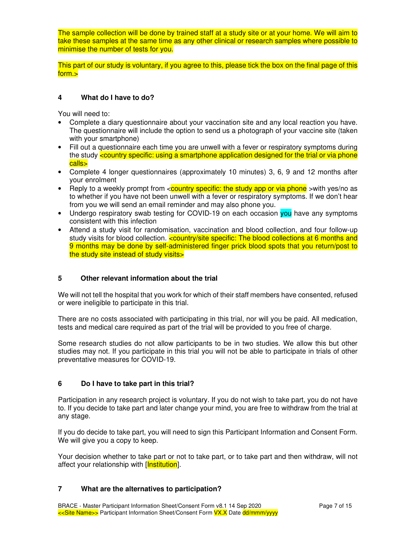The sample collection will be done by trained staff at a study site or at your home. We will aim to take these samples at the same time as any other clinical or research samples where possible to minimise the number of tests for you.

This part of our study is voluntary, if you agree to this, please tick the box on the final page of this form.>

### **4 What do I have to do?**

You will need to:

- Complete a diary questionnaire about your vaccination site and any local reaction you have. The questionnaire will include the option to send us a photograph of your vaccine site (taken with your smartphone)
- Fill out a questionnaire each time you are unwell with a fever or respiratory symptoms during the study <country specific: using a smartphone application designed for the trial or via phone calls>
- Complete 4 longer questionnaires (approximately 10 minutes) 3, 6, 9 and 12 months after your enrolment
- Reply to a weekly prompt from  $\leq$  country specific: the study app or via phone  $\geq$  with yes/no as to whether if you have not been unwell with a fever or respiratory symptoms. If we don't hear from you we will send an email reminder and may also phone you.
- Undergo respiratory swab testing for COVID-19 on each occasion you have any symptoms consistent with this infection
- Attend a study visit for randomisation, vaccination and blood collection, and four follow-up study visits for blood collection. **country/site specific: The blood collections at 6 months and** 9 months may be done by self-administered finger prick blood spots that you return/post to the study site instead of study visits>

#### **5 Other relevant information about the trial**

We will not tell the hospital that you work for which of their staff members have consented, refused or were ineligible to participate in this trial.

There are no costs associated with participating in this trial, nor will you be paid. All medication, tests and medical care required as part of the trial will be provided to you free of charge.

Some research studies do not allow participants to be in two studies. We allow this but other studies may not. If you participate in this trial you will not be able to participate in trials of other preventative measures for COVID-19.

#### **6 Do I have to take part in this trial?**

Participation in any research project is voluntary. If you do not wish to take part, you do not have to. If you decide to take part and later change your mind, you are free to withdraw from the trial at any stage.

If you do decide to take part, you will need to sign this Participant Information and Consent Form. We will give you a copy to keep.

Your decision whether to take part or not to take part, or to take part and then withdraw, will not affect your relationship with [Institution].

#### **7 What are the alternatives to participation?**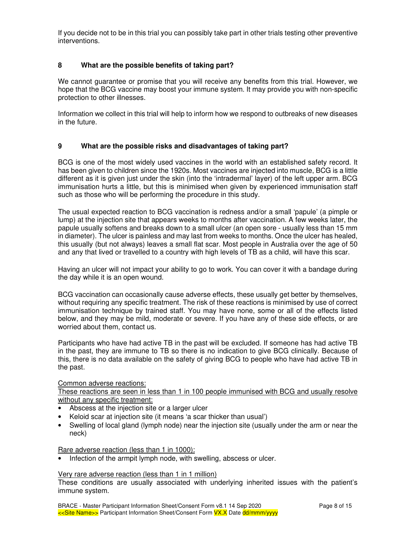If you decide not to be in this trial you can possibly take part in other trials testing other preventive interventions.

### **8 What are the possible benefits of taking part?**

We cannot guarantee or promise that you will receive any benefits from this trial. However, we hope that the BCG vaccine may boost your immune system. It may provide you with non-specific protection to other illnesses.

Information we collect in this trial will help to inform how we respond to outbreaks of new diseases in the future.

#### **9 What are the possible risks and disadvantages of taking part?**

BCG is one of the most widely used vaccines in the world with an established safety record. It has been given to children since the 1920s. Most vaccines are injected into muscle, BCG is a little different as it is given just under the skin (into the 'intradermal' layer) of the left upper arm. BCG immunisation hurts a little, but this is minimised when given by experienced immunisation staff such as those who will be performing the procedure in this study.

The usual expected reaction to BCG vaccination is redness and/or a small 'papule' (a pimple or lump) at the injection site that appears weeks to months after vaccination. A few weeks later, the papule usually softens and breaks down to a small ulcer (an open sore - usually less than 15 mm in diameter). The ulcer is painless and may last from weeks to months. Once the ulcer has healed, this usually (but not always) leaves a small flat scar. Most people in Australia over the age of 50 and any that lived or travelled to a country with high levels of TB as a child, will have this scar.

Having an ulcer will not impact your ability to go to work. You can cover it with a bandage during the day while it is an open wound.

BCG vaccination can occasionally cause adverse effects, these usually get better by themselves, without requiring any specific treatment. The risk of these reactions is minimised by use of correct immunisation technique by trained staff. You may have none, some or all of the effects listed below, and they may be mild, moderate or severe. If you have any of these side effects, or are worried about them, contact us.

Participants who have had active TB in the past will be excluded. If someone has had active TB in the past, they are immune to TB so there is no indication to give BCG clinically. Because of this, there is no data available on the safety of giving BCG to people who have had active TB in the past.

Common adverse reactions:

These reactions are seen in less than 1 in 100 people immunised with BCG and usually resolve without any specific treatment:

- Abscess at the injection site or a larger ulcer
- Keloid scar at injection site (it means 'a scar thicker than usual')
- Swelling of local gland (lymph node) near the injection site (usually under the arm or near the neck)

Rare adverse reaction (less than 1 in 1000):

Infection of the armpit lymph node, with swelling, abscess or ulcer.

#### Very rare adverse reaction (less than 1 in 1 million)

These conditions are usually associated with underlying inherited issues with the patient's immune system.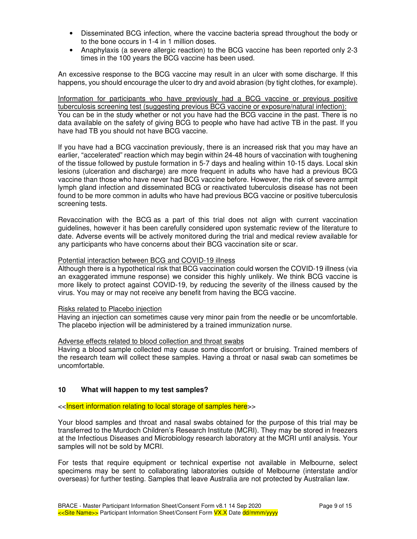- Disseminated BCG infection, where the vaccine bacteria spread throughout the body or to the bone occurs in 1-4 in 1 million doses.
- Anaphylaxis (a severe allergic reaction) to the BCG vaccine has been reported only 2-3 times in the 100 years the BCG vaccine has been used.

An excessive response to the BCG vaccine may result in an ulcer with some discharge. If this happens, you should encourage the ulcer to dry and avoid abrasion (by tight clothes, for example).

Information for participants who have previously had a BCG vaccine or previous positive tuberculosis screening test (suggesting previous BCG vaccine or exposure/natural infection): You can be in the study whether or not you have had the BCG vaccine in the past. There is no data available on the safety of giving BCG to people who have had active TB in the past. If you have had TB you should not have BCG vaccine.

If you have had a BCG vaccination previously, there is an increased risk that you may have an earlier, "accelerated" reaction which may begin within 24-48 hours of vaccination with toughening of the tissue followed by pustule formation in 5-7 days and healing within 10-15 days. Local skin lesions (ulceration and discharge) are more frequent in adults who have had a previous BCG vaccine than those who have never had BCG vaccine before. However, the risk of severe armpit lymph gland infection and disseminated BCG or reactivated tuberculosis disease has not been found to be more common in adults who have had previous BCG vaccine or positive tuberculosis screening tests.

Revaccination with the BCG as a part of this trial does not align with current vaccination guidelines, however it has been carefully considered upon systematic review of the literature to date. Adverse events will be actively monitored during the trial and medical review available for any participants who have concerns about their BCG vaccination site or scar.

#### Potential interaction between BCG and COVID-19 illness

Although there is a hypothetical risk that BCG vaccination could worsen the COVID-19 illness (via an exaggerated immune response) we consider this highly unlikely. We think BCG vaccine is more likely to protect against COVID-19, by reducing the severity of the illness caused by the virus. You may or may not receive any benefit from having the BCG vaccine.

#### Risks related to Placebo injection

Having an injection can sometimes cause very minor pain from the needle or be uncomfortable. The placebo injection will be administered by a trained immunization nurse.

#### Adverse effects related to blood collection and throat swabs

Having a blood sample collected may cause some discomfort or bruising. Trained members of the research team will collect these samples. Having a throat or nasal swab can sometimes be uncomfortable.

#### **10 What will happen to my test samples?**

#### <<Insert information relating to local storage of samples here>>

Your blood samples and throat and nasal swabs obtained for the purpose of this trial may be transferred to the Murdoch Children's Research Institute (MCRI). They may be stored in freezers at the Infectious Diseases and Microbiology research laboratory at the MCRI until analysis. Your samples will not be sold by MCRI.

For tests that require equipment or technical expertise not available in Melbourne, select specimens may be sent to collaborating laboratories outside of Melbourne (interstate and/or overseas) for further testing. Samples that leave Australia are not protected by Australian law.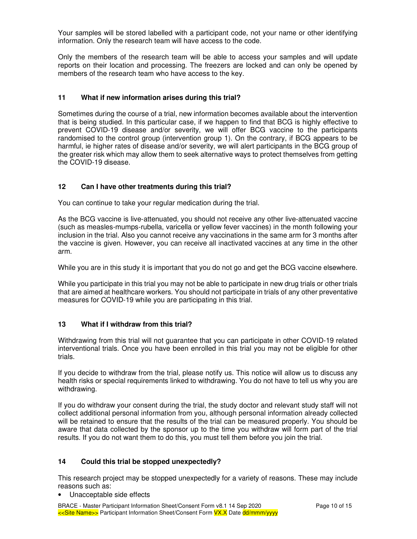Your samples will be stored labelled with a participant code, not your name or other identifying information. Only the research team will have access to the code.

Only the members of the research team will be able to access your samples and will update reports on their location and processing. The freezers are locked and can only be opened by members of the research team who have access to the key.

### **11 What if new information arises during this trial?**

Sometimes during the course of a trial, new information becomes available about the intervention that is being studied. In this particular case, if we happen to find that BCG is highly effective to prevent COVID-19 disease and/or severity, we will offer BCG vaccine to the participants randomised to the control group (intervention group 1). On the contrary, if BCG appears to be harmful, ie higher rates of disease and/or severity, we will alert participants in the BCG group of the greater risk which may allow them to seek alternative ways to protect themselves from getting the COVID-19 disease.

### **12 Can I have other treatments during this trial?**

You can continue to take your regular medication during the trial.

As the BCG vaccine is live-attenuated, you should not receive any other live-attenuated vaccine (such as measles-mumps-rubella, varicella or yellow fever vaccines) in the month following your inclusion in the trial. Also you cannot receive any vaccinations in the same arm for 3 months after the vaccine is given. However, you can receive all inactivated vaccines at any time in the other arm.

While you are in this study it is important that you do not go and get the BCG vaccine elsewhere.

While you participate in this trial you may not be able to participate in new drug trials or other trials that are aimed at healthcare workers. You should not participate in trials of any other preventative measures for COVID-19 while you are participating in this trial.

#### **13 What if I withdraw from this trial?**

Withdrawing from this trial will not guarantee that you can participate in other COVID-19 related interventional trials. Once you have been enrolled in this trial you may not be eligible for other trials.

If you decide to withdraw from the trial, please notify us. This notice will allow us to discuss any health risks or special requirements linked to withdrawing. You do not have to tell us why you are withdrawing.

If you do withdraw your consent during the trial, the study doctor and relevant study staff will not collect additional personal information from you, although personal information already collected will be retained to ensure that the results of the trial can be measured properly. You should be aware that data collected by the sponsor up to the time you withdraw will form part of the trial results. If you do not want them to do this, you must tell them before you join the trial.

#### **14 Could this trial be stopped unexpectedly?**

This research project may be stopped unexpectedly for a variety of reasons. These may include reasons such as:

Unacceptable side effects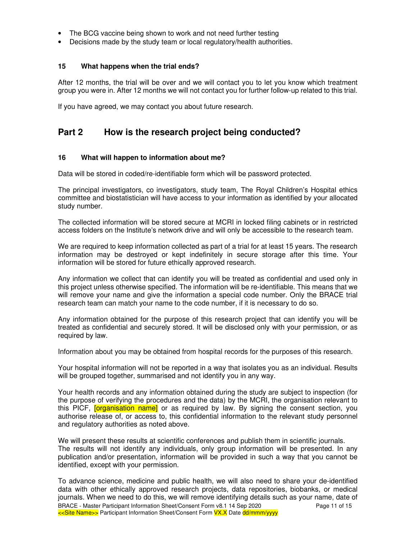- The BCG vaccine being shown to work and not need further testing
- Decisions made by the study team or local regulatory/health authorities.

#### **15 What happens when the trial ends?**

After 12 months, the trial will be over and we will contact you to let you know which treatment group you were in. After 12 months we will not contact you for further follow-up related to this trial.

If you have agreed, we may contact you about future research.

# **Part 2 How is the research project being conducted?**

### **16 What will happen to information about me?**

Data will be stored in coded/re-identifiable form which will be password protected.

The principal investigators, co investigators, study team, The Royal Children's Hospital ethics committee and biostatistician will have access to your information as identified by your allocated study number.

The collected information will be stored secure at MCRI in locked filing cabinets or in restricted access folders on the Institute's network drive and will only be accessible to the research team.

We are required to keep information collected as part of a trial for at least 15 years. The research information may be destroyed or kept indefinitely in secure storage after this time. Your information will be stored for future ethically approved research.

Any information we collect that can identify you will be treated as confidential and used only in this project unless otherwise specified. The information will be re-identifiable. This means that we will remove your name and give the information a special code number. Only the BRACE trial research team can match your name to the code number, if it is necessary to do so.

Any information obtained for the purpose of this research project that can identify you will be treated as confidential and securely stored. It will be disclosed only with your permission, or as required by law.

Information about you may be obtained from hospital records for the purposes of this research.

Your hospital information will not be reported in a way that isolates you as an individual. Results will be grouped together, summarised and not identify you in any way.

Your health records and any information obtained during the study are subject to inspection (for the purpose of verifying the procedures and the data) by the MCRI, the organisation relevant to this PICF, **[organisation name]** or as required by law. By signing the consent section, you authorise release of, or access to, this confidential information to the relevant study personnel and regulatory authorities as noted above.

We will present these results at scientific conferences and publish them in scientific journals. The results will not identify any individuals, only group information will be presented. In any publication and/or presentation, information will be provided in such a way that you cannot be identified, except with your permission.

BRACE - Master Participant Information Sheet/Consent Form v8.1 14 Sep 2020 Page 11 of 15 <<Site Name>> Participant Information Sheet/Consent Form **VX.X** Date dd/mmm/yyyy To advance science, medicine and public health, we will also need to share your de-identified data with other ethically approved research projects, data repositories, biobanks, or medical journals. When we need to do this, we will remove identifying details such as your name, date of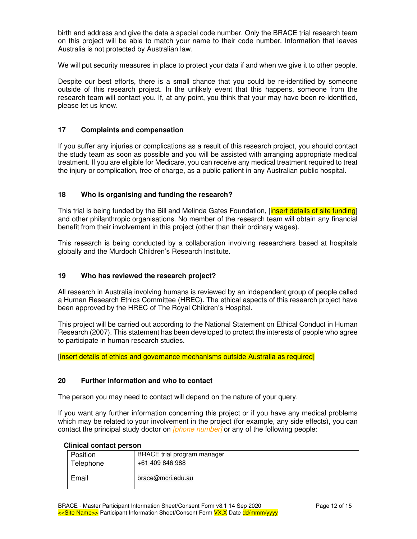birth and address and give the data a special code number. Only the BRACE trial research team on this project will be able to match your name to their code number. Information that leaves Australia is not protected by Australian law.

We will put security measures in place to protect your data if and when we give it to other people.

Despite our best efforts, there is a small chance that you could be re-identified by someone outside of this research project. In the unlikely event that this happens, someone from the research team will contact you. If, at any point, you think that your may have been re-identified, please let us know.

#### **17 Complaints and compensation**

If you suffer any injuries or complications as a result of this research project, you should contact the study team as soon as possible and you will be assisted with arranging appropriate medical treatment. If you are eligible for Medicare, you can receive any medical treatment required to treat the injury or complication, free of charge, as a public patient in any Australian public hospital.

#### **18 Who is organising and funding the research?**

This trial is being funded by the Bill and Melinda Gates Foundation, *[insert details of site funding]* and other philanthropic organisations. No member of the research team will obtain any financial benefit from their involvement in this project (other than their ordinary wages).

This research is being conducted by a collaboration involving researchers based at hospitals globally and the Murdoch Children's Research Institute.

#### **19 Who has reviewed the research project?**

All research in Australia involving humans is reviewed by an independent group of people called a Human Research Ethics Committee (HREC). The ethical aspects of this research project have been approved by the HREC of The Royal Children's Hospital.

This project will be carried out according to the National Statement on Ethical Conduct in Human Research (2007). This statement has been developed to protect the interests of people who agree to participate in human research studies.

[insert details of ethics and governance mechanisms outside Australia as required]

#### **20 Further information and who to contact**

The person you may need to contact will depend on the nature of your query.

If you want any further information concerning this project or if you have any medical problems which may be related to your involvement in the project (for example, any side effects), you can contact the principal study doctor on *[phone number]* or any of the following people:

| ,         |                             |
|-----------|-----------------------------|
| Position  | BRACE trial program manager |
| Telephone | +61 409 846 988             |
| Email     | brace@mcri.edu.au           |

#### **Clinical contact person**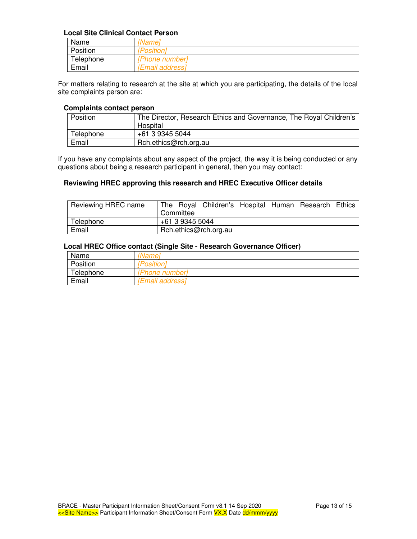#### **Local Site Clinical Contact Person**

| Name                               | 'Name <sub>r</sub>     |
|------------------------------------|------------------------|
| Position                           | <i><b>Position</b></i> |
| Telephone<br><b>IPhone numberl</b> |                        |
| Email                              | [Email address]        |

For matters relating to research at the site at which you are participating, the details of the local site complaints person are:

#### **Complaints contact person**

| Position  | The Director, Research Ethics and Governance, The Royal Children's |
|-----------|--------------------------------------------------------------------|
|           | Hospital                                                           |
| Telephone | +61 3 9345 5044                                                    |
| Email     | Rch.ethics@rch.org.au                                              |

If you have any complaints about any aspect of the project, the way it is being conducted or any questions about being a research participant in general, then you may contact:

#### **Reviewing HREC approving this research and HREC Executive Officer details**

| Reviewing HREC name | The Royal Children's Hospital Human Research Ethics<br>Committee |  |  |
|---------------------|------------------------------------------------------------------|--|--|
| Telephone           | +61 3 9345 5044                                                  |  |  |
| Email               | Rch.ethics@rch.org.au                                            |  |  |

#### **Local HREC Office contact (Single Site - Research Governance Officer)**

| Name      | 'Nameì          |
|-----------|-----------------|
| Position  | [Position]      |
| Telephone | [Phone number]  |
| Email     | [Email address] |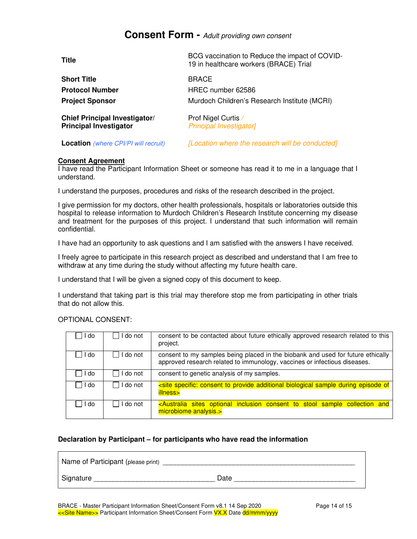# **Consent Form -** Adult providing own consent

| <b>Title</b>                                                          | BCG vaccination to Reduce the impact of COVID-<br>19 in healthcare workers (BRACE) Trial |
|-----------------------------------------------------------------------|------------------------------------------------------------------------------------------|
| <b>Short Title</b>                                                    | <b>BRACE</b>                                                                             |
| <b>Protocol Number</b>                                                | HREC number 62586                                                                        |
| <b>Project Sponsor</b>                                                | Murdoch Children's Research Institute (MCRI)                                             |
| <b>Chief Principal Investigator/</b><br><b>Principal Investigator</b> | Prof Nigel Curtis /<br><b>Principal Investigator]</b>                                    |
| <b>Location</b> (where CPI/PI will recruit)                           | [Location where the research will be conducted]                                          |

#### **Consent Agreement**

I have read the Participant Information Sheet or someone has read it to me in a language that I understand.

I understand the purposes, procedures and risks of the research described in the project.

I give permission for my doctors, other health professionals, hospitals or laboratories outside this hospital to release information to Murdoch Children's Research Institute concerning my disease and treatment for the purposes of this project. I understand that such information will remain confidential.

I have had an opportunity to ask questions and I am satisfied with the answers I have received.

I freely agree to participate in this research project as described and understand that I am free to withdraw at any time during the study without affecting my future health care.

I understand that I will be given a signed copy of this document to keep.

I understand that taking part is this trial may therefore stop me from participating in other trials that do not allow this.

#### OPTIONAL CONSENT:

| I do   | I do not | consent to be contacted about future ethically approved research related to this<br>project.                                                                 |
|--------|----------|--------------------------------------------------------------------------------------------------------------------------------------------------------------|
| I do   | I do not | consent to my samples being placed in the biobank and used for future ethically<br>approved research related to immunology, vaccines or infectious diseases. |
| l I do | I do not | consent to genetic analysis of my samples.                                                                                                                   |
| l I do | I do not | site specific: consent to provide additional biological sample during episode of<br>illness>                                                                 |
| l I do | I do not | <australia and<br="" collection="" consent="" inclusion="" optional="" sample="" sites="" stool="" to="">microbiome analysis.&gt;</australia>                |

#### **Declaration by Participant – for participants who have read the information**

| Name of Participant (please print) |      |
|------------------------------------|------|
| Signature                          | Date |